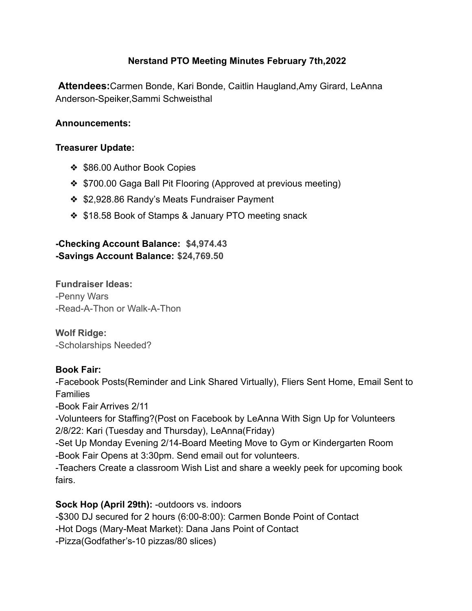# **Nerstand PTO Meeting Minutes February 7th,2022**

**Attendees:**Carmen Bonde, Kari Bonde, Caitlin Haugland,Amy Girard, LeAnna Anderson-Speiker,Sammi Schweisthal

#### **Announcements:**

#### **Treasurer Update:**

- ❖ \$86.00 Author Book Copies
- ❖ \$700.00 Gaga Ball Pit Flooring (Approved at previous meeting)
- ❖ \$2,928.86 Randy's Meats Fundraiser Payment
- ❖ \$18.58 Book of Stamps & January PTO meeting snack

### **-Checking Account Balance: \$4,974.43 -Savings Account Balance: \$24,769.50**

**Fundraiser Ideas:** -Penny Wars -Read-A-Thon or Walk-A-Thon

**Wolf Ridge:** -Scholarships Needed?

### **Book Fair:**

-Facebook Posts(Reminder and Link Shared Virtually), Fliers Sent Home, Email Sent to **Families** 

-Book Fair Arrives 2/11

-Volunteers for Staffing?(Post on Facebook by LeAnna With Sign Up for Volunteers 2/8/22: Kari (Tuesday and Thursday), LeAnna(Friday)

-Set Up Monday Evening 2/14-Board Meeting Move to Gym or Kindergarten Room -Book Fair Opens at 3:30pm. Send email out for volunteers.

-Teachers Create a classroom Wish List and share a weekly peek for upcoming book fairs.

### **Sock Hop (April 29th):** -outdoors vs. indoors

-\$300 DJ secured for 2 hours (6:00-8:00): Carmen Bonde Point of Contact

-Hot Dogs (Mary-Meat Market): Dana Jans Point of Contact

-Pizza(Godfather's-10 pizzas/80 slices)